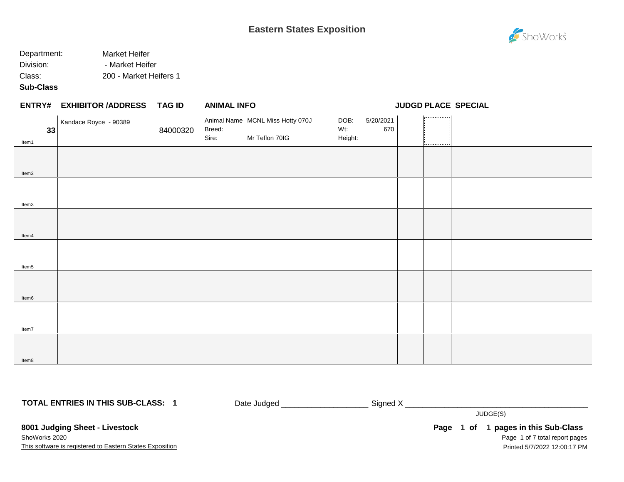#### Department: Market Heifer Division: - Market Heifer Class: 200 - Market Heifers 1

**Sub-Class**

Item8

### **EXHIBITOR /ADDRESS TAG ID ENTRY# ANIMAL INFO JUDGD PLACE SPECIAL** 1. . . . . . . . . . . . Animal Name MCNL Miss Hotty 070J DOB: 5/20/2021 Kandace Royce - 90389 Wt: 670 **33** 84000320 Breed: Sire: Mr Teflon 70IG Height: Item1 Item2 Item3 Item4 Item5 Item6 Item7

**TOTAL ENTRIES IN THIS SUB-CLASS: 1**

Date Judged \_\_\_\_\_\_\_\_\_\_\_\_\_\_\_\_\_\_\_\_ Signed X \_\_\_\_\_\_\_\_\_\_\_\_\_\_\_\_\_\_\_\_\_\_\_\_\_\_\_\_\_\_\_\_\_\_\_\_\_\_\_\_\_\_

JUDGE(S)

**8001 Judging Sheet - Livestock** ShoWorks 2020

This software is registered to Eastern States Exposition

Page 1 of 7 total report pages Page 1 of 1 pages in this Sub-Class Printed 5/7/2022 12:00:17 PM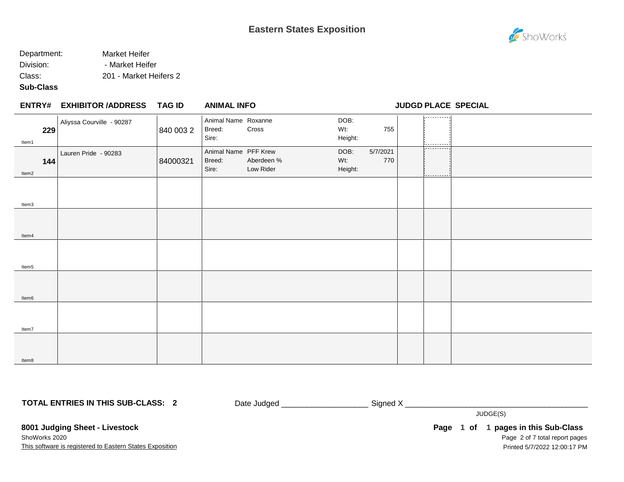#### Department: Market Heifer Division: - Market Heifer Class: 201 - Market Heifers 2

#### **Sub-Class**

|              | <b>ENTRY# EXHIBITOR /ADDRESS</b> | TAG ID    | <b>ANIMAL INFO</b>                      |                         |                        |                 |                          | <b>JUDGD PLACE SPECIAL</b> |
|--------------|----------------------------------|-----------|-----------------------------------------|-------------------------|------------------------|-----------------|--------------------------|----------------------------|
| 229<br>Item1 | Aliyssa Courville - 90287        | 840 003 2 | Animal Name Roxanne<br>Breed:<br>Sire:  | Cross                   | DOB:<br>Wt:<br>Height: | 755             | ---------                |                            |
| 144<br>Item2 | Lauren Pride - 90283             | 84000321  | Animal Name PFF Krew<br>Breed:<br>Sire: | Aberdeen %<br>Low Rider | DOB:<br>Wt:<br>Height: | 5/7/2021<br>770 | ----------<br>---------- |                            |
| Item3        |                                  |           |                                         |                         |                        |                 |                          |                            |
| Item4        |                                  |           |                                         |                         |                        |                 |                          |                            |
| Item5        |                                  |           |                                         |                         |                        |                 |                          |                            |
| Item6        |                                  |           |                                         |                         |                        |                 |                          |                            |
| Item7        |                                  |           |                                         |                         |                        |                 |                          |                            |
| Item8        |                                  |           |                                         |                         |                        |                 |                          |                            |

**TOTAL ENTRIES IN THIS SUB-CLASS: 2**

Date Judged \_\_\_\_\_\_\_\_\_\_\_\_\_\_\_\_\_\_\_\_\_\_\_\_\_\_\_\_ Signed X \_\_\_\_\_\_\_\_\_\_\_\_\_\_\_\_\_\_\_\_\_\_\_\_\_\_\_\_\_\_

JUDGE(S)

**8001 Judging Sheet - Livestock** ShoWorks 2020

This software is registered to Eastern States Exposition

Page 2 of 7 total report pages Page 1 of 1 pages in this Sub-Class Printed 5/7/2022 12:00:17 PM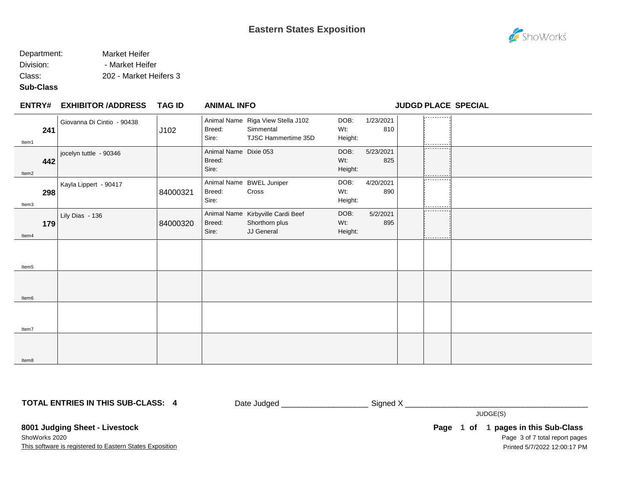#### Department: Market Heifer Division: - Market Heifer

Class: 202 - Market Heifers 3

#### **Sub-Class**

| <b>ENTRY#</b> | <b>EXHIBITOR /ADDRESS</b>  | <b>TAG ID</b> | <b>ANIMAL INFO</b>                       |                                                                       | <b>JUDGD PLACE SPECIAL</b> |                  |  |                        |  |
|---------------|----------------------------|---------------|------------------------------------------|-----------------------------------------------------------------------|----------------------------|------------------|--|------------------------|--|
| 241<br>Item1  | Giovanna Di Cintio - 90438 | J102          | Breed:<br>Sire:                          | Animal Name Riga View Stella J102<br>Simmental<br>TJSC Hammertime 35D | DOB:<br>Wt:<br>Height:     | 1/23/2021<br>810 |  | ---------              |  |
| 442<br>Item2  | jocelyn tuttle - 90346     |               | Animal Name Dixie 053<br>Breed:<br>Sire: |                                                                       | DOB:<br>Wt:<br>Height:     | 5/23/2021<br>825 |  | -----------            |  |
| 298<br>Item3  | Kayla Lippert - 90417      | 84000321      | Breed:<br>Sire:                          | Animal Name BWEL Juniper<br>Cross                                     | DOB:<br>Wt:<br>Height:     | 4/20/2021<br>890 |  | ----------             |  |
| 179<br>Item4  | Lily Dias - 136            | 84000320      | Breed:<br>Sire:                          | Animal Name Kirbyville Cardi Beef<br>Shorthorn plus<br>JJ General     | DOB:<br>Wt:<br>Height:     | 5/2/2021<br>895  |  | ----------<br>-------- |  |
| Item5         |                            |               |                                          |                                                                       |                            |                  |  |                        |  |
| Item6         |                            |               |                                          |                                                                       |                            |                  |  |                        |  |
| Item7         |                            |               |                                          |                                                                       |                            |                  |  |                        |  |
| Item8         |                            |               |                                          |                                                                       |                            |                  |  |                        |  |

**TOTAL ENTRIES IN THIS SUB-CLASS: 4**

Date Judged \_\_\_\_\_\_\_\_\_\_\_\_\_\_\_\_\_\_\_\_\_\_\_\_\_\_\_\_ Signed X \_\_\_\_\_\_\_\_\_\_\_\_\_\_\_\_\_\_\_\_\_\_\_\_\_\_\_\_\_\_

JUDGE(S)

**8001 Judging Sheet - Livestock** ShoWorks 2020

This software is registered to Eastern States Exposition

Page 3 of 7 total report pages Page 1 of 1 pages in this Sub-Class Printed 5/7/2022 12:00:17 PM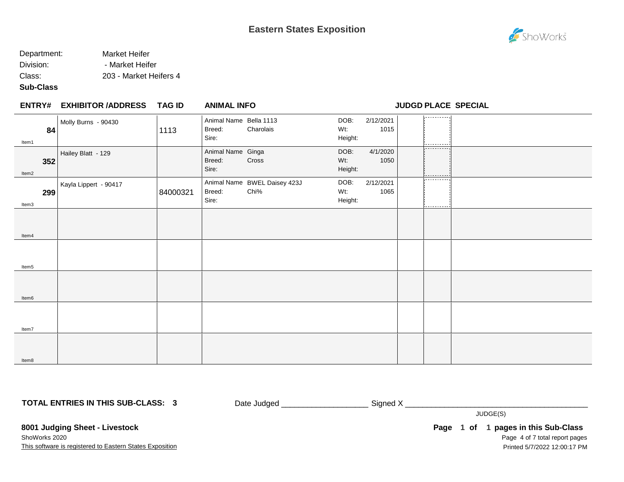#### Department: Market Heifer Division: - Market Heifer

Class: 203 - Market Heifers 4

#### **Sub-Class**

|              | <b>ENTRY# EXHIBITOR /ADDRESS</b> | TAG ID   | <b>ANIMAL INFO</b>                        |                                      |                        |                   | <b>JUDGD PLACE SPECIAL</b> |  |
|--------------|----------------------------------|----------|-------------------------------------------|--------------------------------------|------------------------|-------------------|----------------------------|--|
| 84<br>Item1  | Molly Burns - 90430              | 1113     | Animal Name Bella 1113<br>Breed:<br>Sire: | Charolais                            | DOB:<br>Wt:<br>Height: | 2/12/2021<br>1015 | .<br>.                     |  |
| 352<br>Item2 | Hailey Blatt - 129               |          | Animal Name Ginga<br>Breed:<br>Sire:      | Cross                                | DOB:<br>Wt:<br>Height: | 4/1/2020<br>1050  | -----------<br>.           |  |
| 299<br>Item3 | Kayla Lippert - 90417            | 84000321 | Breed:<br>Sire:                           | Animal Name BWEL Daisey 423J<br>Chi% | DOB:<br>Wt:<br>Height: | 2/12/2021<br>1065 | ----------<br>-----------  |  |
| Item4        |                                  |          |                                           |                                      |                        |                   |                            |  |
| Item5        |                                  |          |                                           |                                      |                        |                   |                            |  |
| Item6        |                                  |          |                                           |                                      |                        |                   |                            |  |
| Item7        |                                  |          |                                           |                                      |                        |                   |                            |  |
| Item8        |                                  |          |                                           |                                      |                        |                   |                            |  |

**TOTAL ENTRIES IN THIS SUB-CLASS: 3**

Date Judged \_\_\_\_\_\_\_\_\_\_\_\_\_\_\_\_\_\_\_\_\_\_\_\_\_\_\_\_ Signed X \_\_\_\_\_\_\_\_\_\_\_\_\_\_\_\_\_\_\_\_\_\_\_\_\_\_\_\_\_\_

JUDGE(S)

**8001 Judging Sheet - Livestock** ShoWorks 2020

This software is registered to Eastern States Exposition

Page 4 of 7 total report pages Page 1 of 1 pages in this Sub-Class Printed 5/7/2022 12:00:17 PM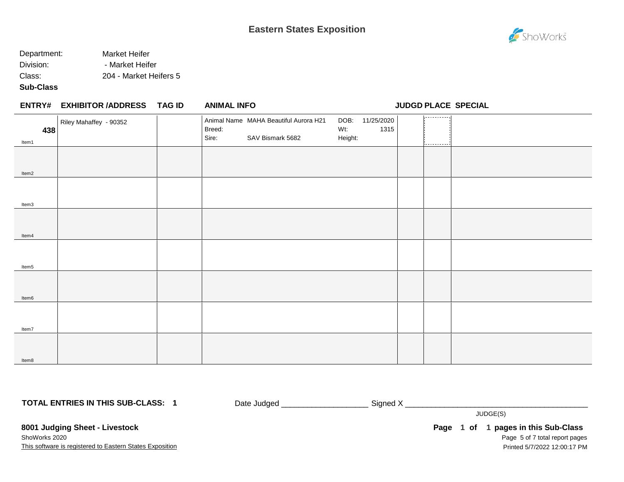### Department: Market Heifer Division: Market Heifer Class: 204 - Market Heifers 5

#### **Sub-Class**

Item8

|              | ENTRY# EXHIBITOR /ADDRESS TAG ID | <b>ANIMAL INFO</b>                                                           |                |                         | JUDGD PLACE SPECIAL |  |
|--------------|----------------------------------|------------------------------------------------------------------------------|----------------|-------------------------|---------------------|--|
| 438<br>Item1 | Riley Mahaffey - 90352           | Animal Name MAHA Beautiful Aurora H21<br>Breed:<br>Sire:<br>SAV Bismark 5682 | Wt:<br>Height: | DOB: 11/25/2020<br>1315 | .                   |  |
| Item2        |                                  |                                                                              |                |                         |                     |  |
| Item3        |                                  |                                                                              |                |                         |                     |  |
| Item4        |                                  |                                                                              |                |                         |                     |  |
| Item5        |                                  |                                                                              |                |                         |                     |  |
| Item6        |                                  |                                                                              |                |                         |                     |  |
| Item7        |                                  |                                                                              |                |                         |                     |  |
|              |                                  |                                                                              |                |                         |                     |  |

**TOTAL ENTRIES IN THIS SUB-CLASS: 1**

Date Judged \_\_\_\_\_\_\_\_\_\_\_\_\_\_\_\_\_\_\_\_ Signed X \_\_\_\_\_\_\_\_\_\_\_\_\_\_\_\_\_\_\_\_\_\_\_\_\_\_\_\_\_\_\_\_\_\_\_\_\_\_\_\_\_\_

JUDGE(S)

**8001 Judging Sheet - Livestock** ShoWorks 2020

This software is registered to Eastern States Exposition

Page 5 of 7 total report pages **Page 1 of 1 pages in this Sub-Class** Printed 5/7/2022 12:00:17 PM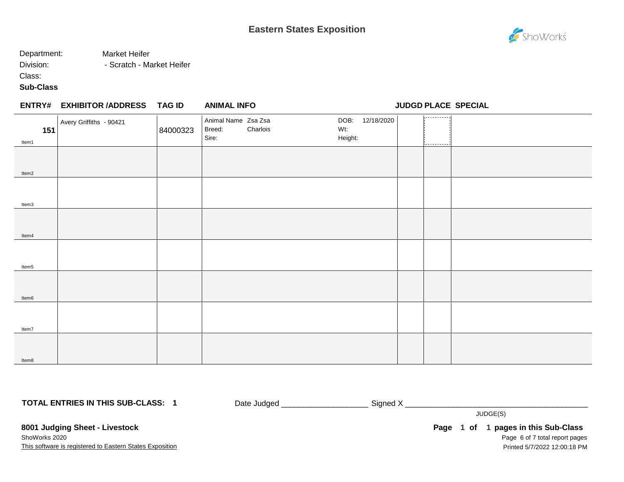### **Eastern States Exposition**

#### Department: Market Heifer

Division: Fig. 2013 - Scratch - Market Heifer

Class:

#### **Sub-Class**

| 151<br>Item1 | Avery Griffiths - 90421 | 84000323 | Animal Name Zsa Zsa<br>Breed:<br>Sire: | Charlois | DOB:<br>Wt:<br>Height: | 12/18/2020 | .<br>i <u>---------</u> -i |  |
|--------------|-------------------------|----------|----------------------------------------|----------|------------------------|------------|----------------------------|--|
|              |                         |          |                                        |          |                        |            |                            |  |
| Item2        |                         |          |                                        |          |                        |            |                            |  |
| Item3        |                         |          |                                        |          |                        |            |                            |  |
| Item4        |                         |          |                                        |          |                        |            |                            |  |
| Item5        |                         |          |                                        |          |                        |            |                            |  |
| Item6        |                         |          |                                        |          |                        |            |                            |  |
| Item7        |                         |          |                                        |          |                        |            |                            |  |
| Item8        |                         |          |                                        |          |                        |            |                            |  |

**TOTAL ENTRIES IN THIS SUB-CLASS: 1**

Date Judged \_\_\_\_\_\_\_\_\_\_\_\_\_\_\_\_\_\_\_\_\_\_\_\_\_\_\_ Signed X \_\_\_\_\_\_\_\_\_\_\_\_\_\_\_\_\_\_\_\_\_\_\_\_\_\_\_\_\_\_\_

JUDGE(S)

**8001 Judging Sheet - Livestock** ShoWorks 2020

This software is registered to Eastern States Exposition

Page 6 of 7 total report pages Page 1 of 1 pages in this Sub-Class Printed 5/7/2022 12:00:18 PM



ShoWorks